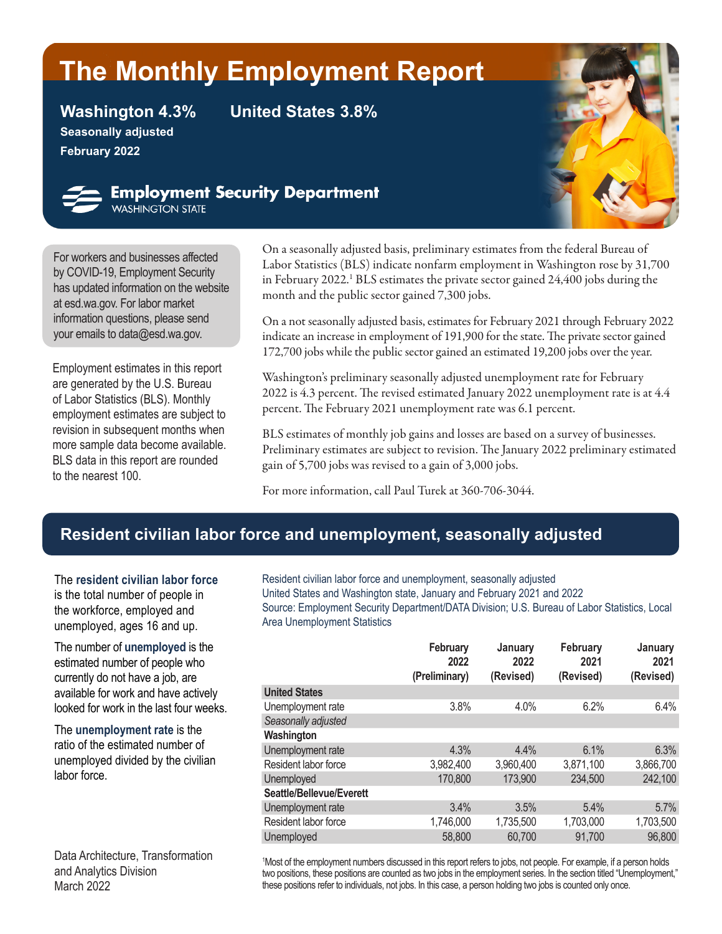# **The Monthly Employment Report**

**Seasonally adjusted February 2022**

**Washington 4.3% United States 3.8%**



### **Employment Security Department** WASHINGTON STATE

For workers and businesses affected

by [COVID-19,](https://esd.wa.gov/newsroom/covid-19) Employment Security has updated information on the website at esd.wa.gov. For labor market information questions, please send your emails to dat[a@esd.wa.gov](mailto:data%40esd.wa.gov?subject=data%40esd.wa.gov).

Employment estimates in this report are generated by the U.S. Bureau of Labor Statistics (BLS). Monthly employment estimates are subject to revision in subsequent months when more sample data become available. BLS data in this report are rounded to the nearest 100.

On a seasonally adjusted basis, preliminary estimates from the federal Bureau of Labor Statistics (BLS) indicate nonfarm employment in Washington rose by 31,700 in February 2022.<sup>1</sup> BLS estimates the private sector gained 24,400 jobs during the month and the public sector gained 7,300 jobs.

On a not seasonally adjusted basis, estimates for February 2021 through February 2022 indicate an increase in employment of 191,900 for the state. The private sector gained 172,700 jobs while the public sector gained an estimated 19,200 jobs over the year.

Washington's preliminary seasonally adjusted unemployment rate for February 2022 is 4.3 percent. The revised estimated January 2022 unemployment rate is at 4.4 percent. The February 2021 unemployment rate was 6.1 percent.

BLS estimates of monthly job gains and losses are based on a survey of businesses. Preliminary estimates are subject to revision. The January 2022 preliminary estimated gain of 5,700 jobs was revised to a gain of 3,000 jobs.

For more information, call Paul Turek at 360-706-3044.

# **Resident civilian labor force and unemployment, seasonally adjusted**

The **resident civilian labor force** is the total number of people in the workforce, employed and unemployed, ages 16 and up.

The number of **unemployed** is the estimated number of people who currently do not have a job, are available for work and have actively looked for work in the last four weeks.

The **unemployment rate** is the ratio of the estimated number of unemployed divided by the civilian labor force.

Data Architecture, Transformation and Analytics Division March 2022

Resident civilian labor force and unemployment, seasonally adjusted United States and Washington state, January and February 2021 and 2022 Source: Employment Security Department/DATA Division; U.S. Bureau of Labor Statistics, Local Area Unemployment Statistics

|                          | February<br>2022<br>(Preliminary) | January<br>2022<br>(Revised) | February<br>2021<br>(Revised) | January<br>2021<br>(Revised) |
|--------------------------|-----------------------------------|------------------------------|-------------------------------|------------------------------|
| <b>United States</b>     |                                   |                              |                               |                              |
| Unemployment rate        | 3.8%                              | 4.0%                         | 6.2%                          | 6.4%                         |
| Seasonally adjusted      |                                   |                              |                               |                              |
| Washington               |                                   |                              |                               |                              |
| Unemployment rate        | 4.3%                              | 4.4%                         | 6.1%                          | 6.3%                         |
| Resident labor force     | 3,982,400                         | 3,960,400                    | 3,871,100                     | 3,866,700                    |
| Unemployed               | 170,800                           | 173,900                      | 234,500                       | 242,100                      |
| Seattle/Bellevue/Everett |                                   |                              |                               |                              |
| Unemployment rate        | 3.4%                              | 3.5%                         | 5.4%                          | 5.7%                         |
| Resident labor force     | 1,746,000                         | 1,735,500                    | 1,703,000                     | 1,703,500                    |
| Unemployed               | 58,800                            | 60,700                       | 91,700                        | 96,800                       |
|                          |                                   |                              |                               |                              |

1 Most of the employment numbers discussed in this report refers to jobs, not people. For example, if a person holds two positions, these positions are counted as two jobs in the employment series. In the section titled "Unemployment," these positions refer to individuals, not jobs. In this case, a person holding two jobs is counted only once.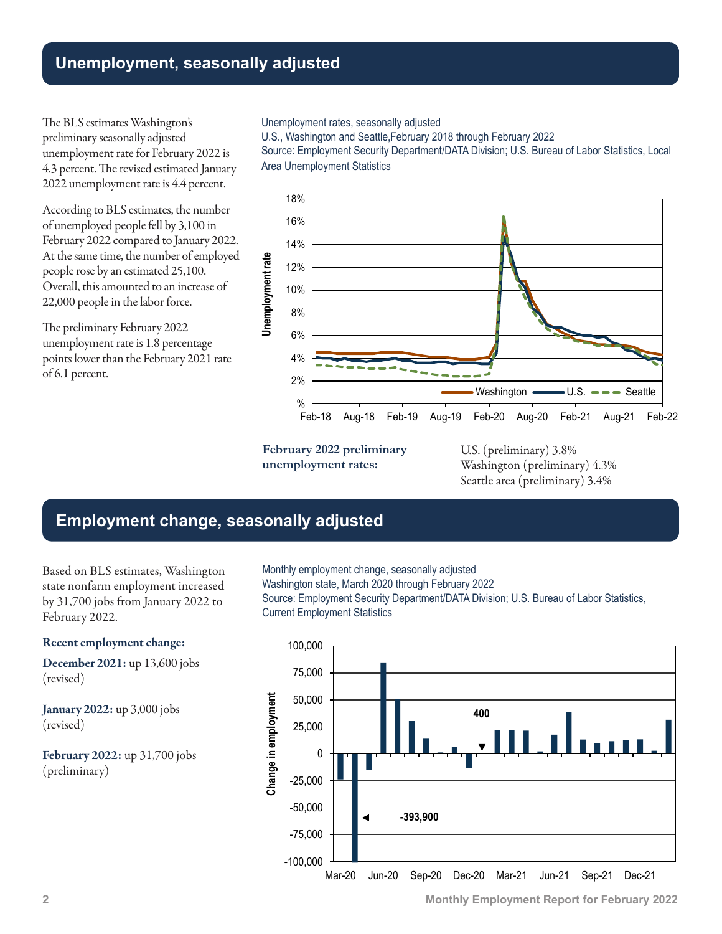# **Unemployment, seasonally adjusted**

The BLS estimates Washington's preliminary seasonally adjusted unemployment rate for February 2022 is 4.3 percent. The revised estimated January 2022 unemployment rate is 4.4 percent.

According to BLS estimates, the number of unemployed people fell by 3,100 in February 2022 compared to January 2022. At the same time, the number of employed people rose by an estimated 25,100. Overall, this amounted to an increase of 22,000 people in the labor force.

The preliminary February 2022 unemployment rate is 1.8 percentage points lower than the February 2021 rate of 6.1 percent.

#### Unemployment rates, seasonally adjusted

U.S., Washington and Seattle,February 2018 through February 2022

Source: Employment Security Department/DATA Division; U.S. Bureau of Labor Statistics, Local Area Unemployment Statistics



**February 2022 preliminary unemployment rates:**

U.S. (preliminary) 3.8% Washington (preliminary) 4.3% Seattle area (preliminary) 3.4%

# **Employment change, seasonally adjusted**

Based on BLS estimates, Washington state nonfarm employment increased by 31,700 jobs from January 2022 to February 2022.

#### Recent employment change:

December 2021: up 13,600 jobs (revised)

January 2022: up 3,000 jobs (revised)

February 2022: up 31,700 jobs (preliminary)

Monthly employment change, seasonally adjusted Washington state, March 2020 through February 2022 Source: Employment Security Department/DATA Division; U.S. Bureau of Labor Statistics, Current Employment Statistics

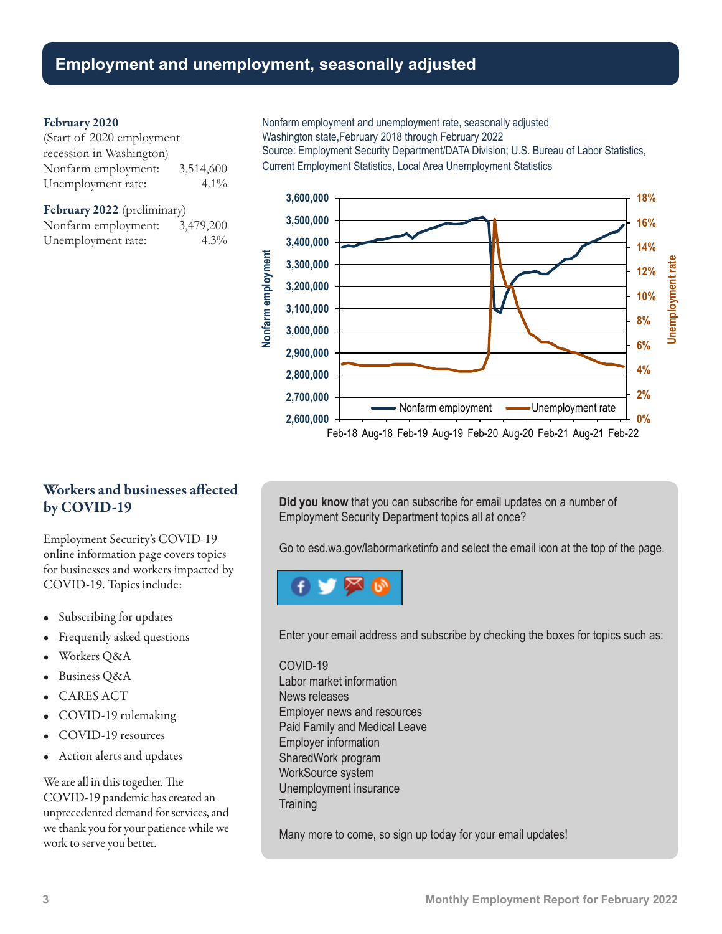### **Employment and unemployment, seasonally adjusted**

#### February 2020

(Start of 2020 employment recession in Washington) Nonfarm employment: 3,514,600 Unemployment rate: 4.1%

February 2022 (preliminary) Nonfarm employment: 3,479,200 Unemployment rate: 4.3% Nonfarm employment and unemployment rate, seasonally adjusted Washington state,February 2018 through February 2022

Source: Employment Security Department/DATA Division; U.S. Bureau of Labor Statistics, Current Employment Statistics, Local Area Unemployment Statistics



Workers and businesses affected by COVID-19

Employment Security's COVID-19 online information page covers topics for businesses and workers impacted by COVID-19. Topics include:

- Subscribing for updates
- Frequently asked questions
- Workers Q&A
- Business Q&A
- CARES ACT
- COVID-19 rulemaking
- COVID-19 resources
- Action alerts and updates

We are all in this together. The COVID-19 pandemic has created an unprecedented demand for services, and we thank you for your patience while we work to serve you better.

**Did you know** that you can subscribe for email updates on a number of Employment Security Department topics all at once?

Go to [esd.wa.gov/labormarketinfo](http://esd.wa.gov/labormarketinfo) and select the email icon at the top of the page.



Enter your email address and subscribe by checking the boxes for topics such as:

#### COVID-19

Labor market information News releases Employer news and resources Paid Family and Medical Leave Employer information SharedWork program WorkSource system Unemployment insurance **Training** 

Many more to come, so sign up today for your email updates!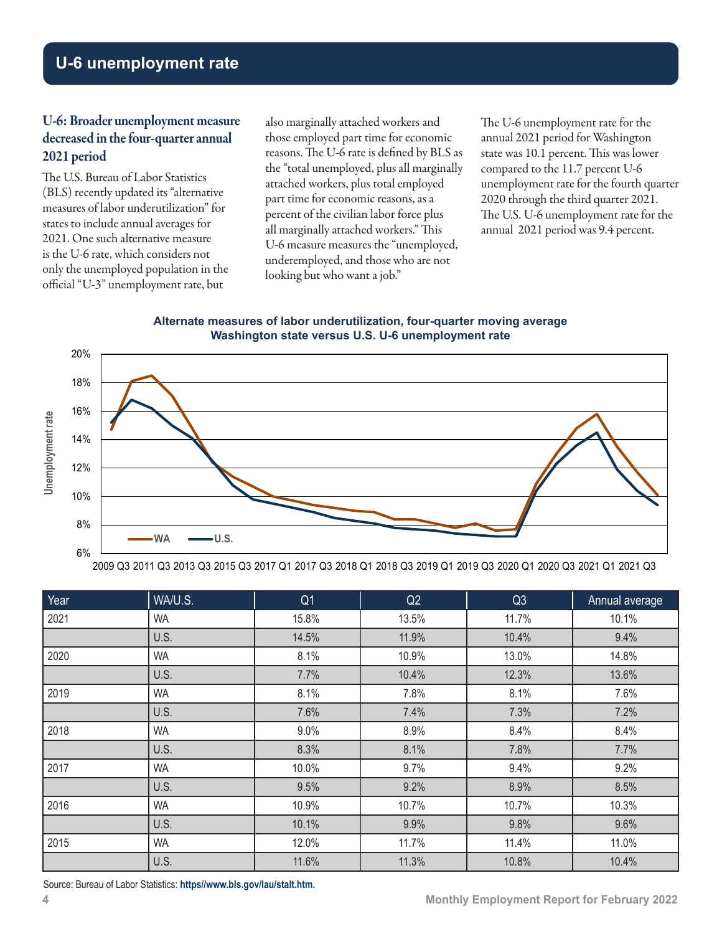# **U-6 unemployment rate**

### U-6: Broader unemployment measure decreased in the four-quarter annual 2021 period

The U.S. Bureau of Labor Statistics (BLS) recently updated its "alternative measures of labor underutilization" for states to include annual averages for 2021. One such alternative measure is the U-6 rate, which considers not only the unemployed population in the official "U-3" unemployment rate, but

also marginally attached workers and those employed part time for economic reasons. The U-6 rate is defined by BLS as the "total unemployed, plus all marginally attached workers, plus total employed part time for economic reasons, as a percent of the civilian labor force plus all marginally attached workers." This U-6 measure measures the "unemployed, underemployed, and those who are not looking but who want a job."

The U-6 unemployment rate for the annual 2021 period for Washington state was 10.1 percent. This was lower compared to the 11.7 percent U-6 unemployment rate for the fourth quarter 2020 through the third quarter 2021. The U.S. U-6 unemployment rate for the annual 2021 period was 9.4 percent.

#### **Alternate measures of labor underutilization, four-quarter moving average Washington state versus U.S. U-6 unemployment rate**



2009 Q3 2011 Q3 2013 Q3 2015 Q3 2017 Q1 2017 Q3 2018 Q1 2018 Q3 2019 Q1 2019 Q3 2020 Q1 2020 Q3 2021 Q1 2021 Q3

| Year | WA/U.S.   | Q <sub>1</sub> | Q2    | Q <sub>3</sub> | Annual average |
|------|-----------|----------------|-------|----------------|----------------|
| 2021 | <b>WA</b> | 15.8%          | 13.5% | 11.7%          | 10.1%          |
|      | U.S.      | 14.5%          | 11.9% | 10.4%          | 9.4%           |
| 2020 | <b>WA</b> | 8.1%           | 10.9% | 13.0%          | 14.8%          |
|      | U.S.      | 7.7%           | 10.4% | 12.3%          | 13.6%          |
| 2019 | <b>WA</b> | 8.1%           | 7.8%  | 8.1%           | 7.6%           |
|      | U.S.      | 7.6%           | 7.4%  | 7.3%           | 7.2%           |
| 2018 | <b>WA</b> | 9.0%           | 8.9%  | 8.4%           | 8.4%           |
|      | U.S.      | 8.3%           | 8.1%  | 7.8%           | 7.7%           |
| 2017 | <b>WA</b> | 10.0%          | 9.7%  | 9.4%           | 9.2%           |
|      | U.S.      | 9.5%           | 9.2%  | 8.9%           | 8.5%           |
| 2016 | <b>WA</b> | 10.9%          | 10.7% | 10.7%          | 10.3%          |
|      | U.S.      | 10.1%          | 9.9%  | 9.8%           | 9.6%           |
| 2015 | <b>WA</b> | 12.0%          | 11.7% | 11.4%          | 11.0%          |
|      | U.S.      | 11.6%          | 11.3% | 10.8%          | 10.4%          |

Source: Bureau of Labor Statistics: **[https//www.bls.gov/lau/stalt.htm](https://www.bls.gov/lau/stalt.htm).**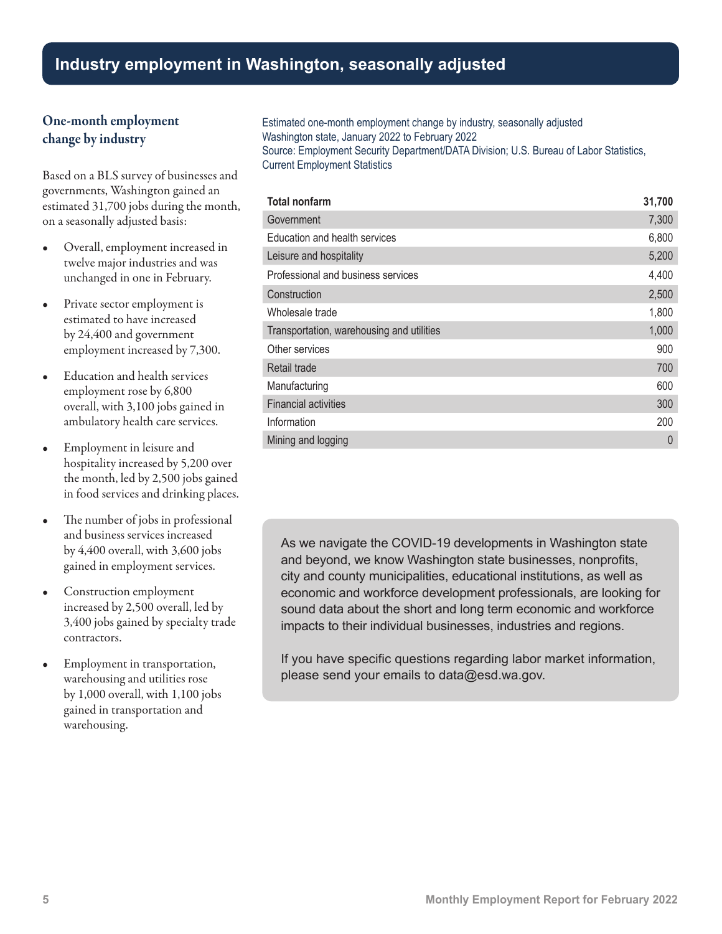# **Industry employment in Washington, seasonally adjusted**

### One-month employment change by industry

Based on a BLS survey of businesses and governments, Washington gained an estimated 31,700 jobs during the month, on a seasonally adjusted basis:

- Overall, employment increased in twelve major industries and was unchanged in one in February.
- Private sector employment is estimated to have increased by 24,400 and government employment increased by 7,300.
- Education and health services employment rose by 6,800 overall, with 3,100 jobs gained in ambulatory health care services.
- Employment in leisure and hospitality increased by 5,200 over the month, led by 2,500 jobs gained in food services and drinking places.
- The number of jobs in professional and business services increased by 4,400 overall, with 3,600 jobs gained in employment services.
- Construction employment increased by 2,500 overall, led by 3,400 jobs gained by specialty trade contractors.
- Employment in transportation, warehousing and utilities rose by 1,000 overall, with 1,100 jobs gained in transportation and warehousing.

Estimated one-month employment change by industry, seasonally adjusted Washington state, January 2022 to February 2022 Source: Employment Security Department/DATA Division; U.S. Bureau of Labor Statistics, Current Employment Statistics

| <b>Total nonfarm</b>                      | 31,700   |
|-------------------------------------------|----------|
| Government                                | 7,300    |
| Education and health services             | 6,800    |
| Leisure and hospitality                   | 5,200    |
| Professional and business services        | 4,400    |
| Construction                              | 2,500    |
| Wholesale trade                           | 1,800    |
| Transportation, warehousing and utilities | 1,000    |
| Other services                            | 900      |
| Retail trade                              | 700      |
| Manufacturing                             | 600      |
| <b>Financial activities</b>               | 300      |
| Information                               | 200      |
| Mining and logging                        | $\Omega$ |

As we navigate the COVID-19 developments in Washington state and beyond, we know Washington state businesses, nonprofits, city and county municipalities, educational institutions, as well as economic and workforce development professionals, are looking for sound data about the short and long term economic and workforce impacts to their individual businesses, industries and regions.

If you have specific questions regarding labor market information, please send your emails t[o data@esd.wa.gov.](mailto:data%40esd.wa.gov?subject=data%40esd.wa.gov)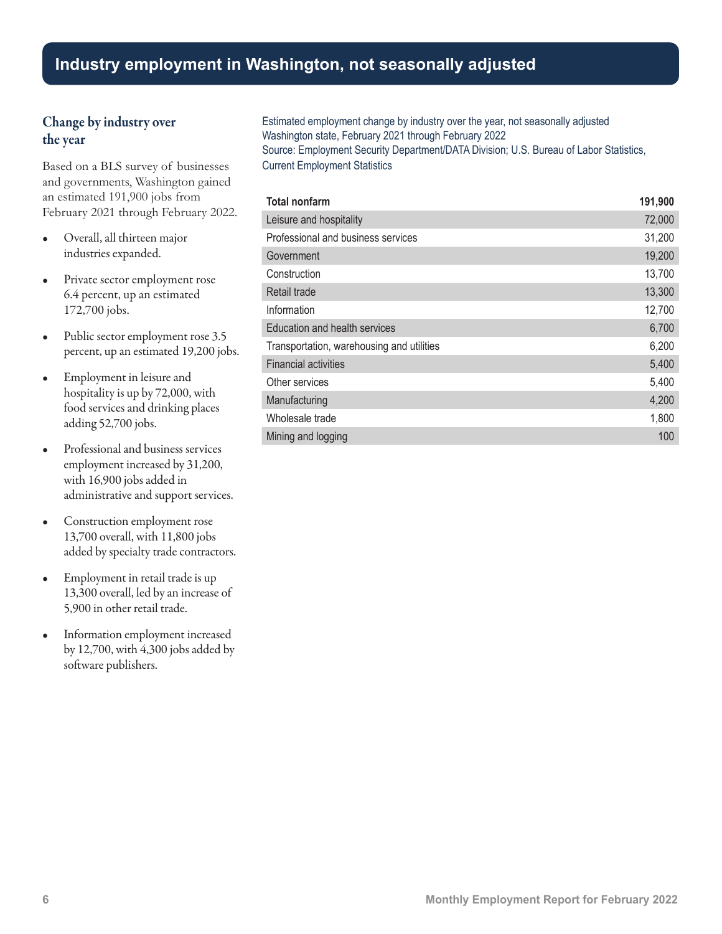## **Industry employment in Washington, not seasonally adjusted**

### Change by industry over the year

Based on a BLS survey of businesses and governments, Washington gained an estimated 191,900 jobs from February 2021 through February 2022.

- Overall, all thirteen major industries expanded.
- Private sector employment rose 6.4 percent, up an estimated 172,700 jobs.
- Public sector employment rose 3.5 percent, up an estimated 19,200 jobs.
- Employment in leisure and hospitality is up by 72,000, with food services and drinking places adding 52,700 jobs.
- Professional and business services employment increased by 31,200, with 16,900 jobs added in administrative and support services.
- Construction employment rose 13,700 overall, with 11,800 jobs added by specialty trade contractors.
- Employment in retail trade is up 13,300 overall, led by an increase of 5,900 in other retail trade.
- Information employment increased by 12,700, with 4,300 jobs added by software publishers.

Estimated employment change by industry over the year, not seasonally adjusted Washington state, February 2021 through February 2022 Source: Employment Security Department/DATA Division; U.S. Bureau of Labor Statistics, Current Employment Statistics

| <b>Total nonfarm</b>                      | 191,900 |
|-------------------------------------------|---------|
| Leisure and hospitality                   | 72,000  |
| Professional and business services        | 31,200  |
| Government                                | 19,200  |
| Construction                              | 13,700  |
| Retail trade                              | 13,300  |
| Information                               | 12,700  |
| Education and health services             | 6,700   |
| Transportation, warehousing and utilities | 6,200   |
| <b>Financial activities</b>               | 5,400   |
| Other services                            | 5,400   |
| Manufacturing                             | 4,200   |
| Wholesale trade                           | 1,800   |
| Mining and logging                        | 100     |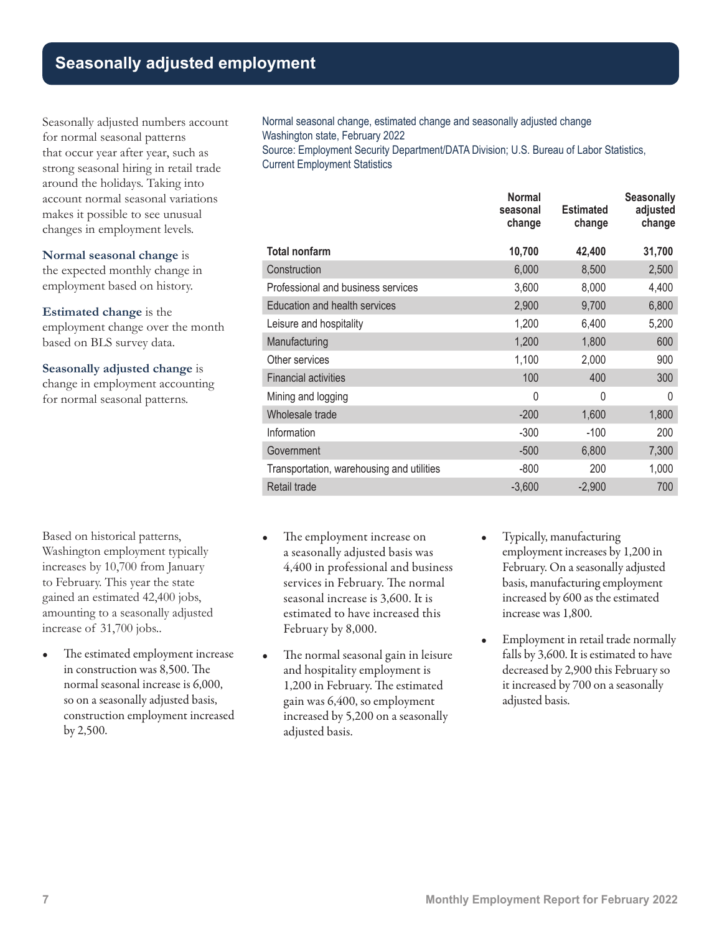# **Seasonally adjusted employment**

Seasonally adjusted numbers account for normal seasonal patterns that occur year after year, such as strong seasonal hiring in retail trade around the holidays. Taking into account normal seasonal variations makes it possible to see unusual changes in employment levels.

### **Normal seasonal change** is

the expected monthly change in employment based on history.

**Estimated change** is the employment change over the month based on BLS survey data.

### **Seasonally adjusted change** is

change in employment accounting for normal seasonal patterns.

Based on historical patterns, Washington employment typically increases by 10,700 from January to February. This year the state gained an estimated 42,400 jobs, amounting to a seasonally adjusted increase of 31,700 jobs..

• The estimated employment increase in construction was 8,500. The normal seasonal increase is 6,000, so on a seasonally adjusted basis, construction employment increased by 2,500.

Normal seasonal change, estimated change and seasonally adjusted change Washington state, February 2022 Source: Employment Security Department/DATA Division; U.S. Bureau of Labor Statistics,

Current Employment Statistics

|                                           | <b>Normal</b><br>seasonal<br>change | <b>Estimated</b><br>change | <b>Seasonally</b><br>adjusted<br>change |
|-------------------------------------------|-------------------------------------|----------------------------|-----------------------------------------|
| <b>Total nonfarm</b>                      | 10,700                              | 42,400                     | 31,700                                  |
| Construction                              | 6,000                               | 8,500                      | 2,500                                   |
| Professional and business services        | 3,600                               | 8,000                      | 4,400                                   |
| Education and health services             | 2,900                               | 9,700                      | 6,800                                   |
| Leisure and hospitality                   | 1,200                               | 6,400                      | 5,200                                   |
| Manufacturing                             | 1,200                               | 1,800                      | 600                                     |
| Other services                            | 1,100                               | 2,000                      | 900                                     |
| <b>Financial activities</b>               | 100                                 | 400                        | 300                                     |
| Mining and logging                        | 0                                   | 0                          | $\Omega$                                |
| Wholesale trade                           | $-200$                              | 1,600                      | 1,800                                   |
| Information                               | $-300$                              | $-100$                     | 200                                     |
| Government                                | $-500$                              | 6,800                      | 7,300                                   |
| Transportation, warehousing and utilities | $-800$                              | 200                        | 1,000                                   |
| Retail trade                              | $-3,600$                            | $-2,900$                   | 700                                     |

- The employment increase on a seasonally adjusted basis was 4,400 in professional and business services in February. The normal seasonal increase is 3,600. It is estimated to have increased this February by 8,000.
- The normal seasonal gain in leisure and hospitality employment is 1,200 in February. The estimated gain was 6,400, so employment increased by 5,200 on a seasonally adjusted basis.
- Typically, manufacturing employment increases by 1,200 in February. On a seasonally adjusted basis, manufacturing employment increased by 600 as the estimated increase was 1,800.
- Employment in retail trade normally falls by 3,600. It is estimated to have decreased by 2,900 this February so it increased by 700 on a seasonally adjusted basis.